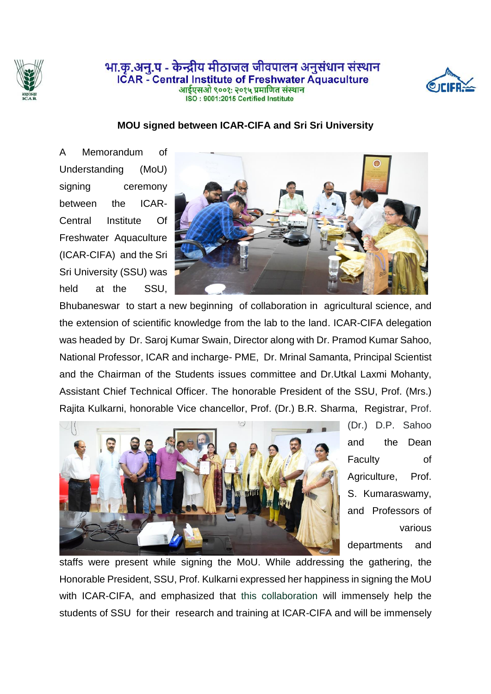

## भा.क.अन्.प - केन्द्रीय मीठाजल जीवपालन अनुसंधान संस्थान **ICAR** - Central Institute of Freshwater Aquaculture आईएसओ ९००१: २०१५ प्रमाणित संस्थान ISO: 9001:2015 Certified Institute



## **MOU signed between ICAR-CIFA and Sri Sri University**

A Memorandum of Understanding (MoU) signing ceremony between the ICAR-Central Institute Of Freshwater Aquaculture (ICAR-CIFA) and the Sri Sri University (SSU) was held at the SSU,



Bhubaneswar to start a new beginning of collaboration in agricultural science, and the extension of scientific knowledge from the lab to the land. ICAR-CIFA delegation was headed by Dr. Saroj Kumar Swain, Director along with Dr. Pramod Kumar Sahoo, National Professor, ICAR and incharge- PME, Dr. Mrinal Samanta, Principal Scientist and the Chairman of the Students issues committee and Dr.Utkal Laxmi Mohanty, Assistant Chief Technical Officer. The honorable President of the SSU, Prof. (Mrs.) Rajita Kulkarni, honorable Vice chancellor, Prof. (Dr.) B.R. Sharma, Registrar, Prof.



(Dr.) D.P. Sahoo and the Dean Faculty of Agriculture, Prof. S. Kumaraswamy, and Professors of various departments and

staffs were present while signing the MoU. While addressing the gathering, the Honorable President, SSU, Prof. Kulkarni expressed her happiness in signing the MoU with ICAR-CIFA, and emphasized that this collaboration will immensely help the students of SSU for their research and training at ICAR-CIFA and will be immensely